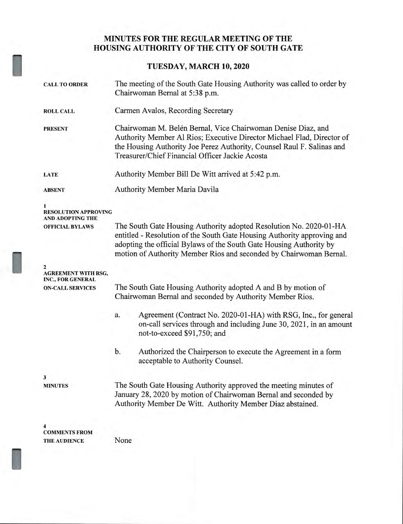## **MINUTES FOR THE REGULAR MEETING OF THE HOUSING AUTHORITY OF THE CITY OF SOUTH GATE**

**TUESDAY, MARCH 10, 2020** 

| <b>CALL TO ORDER</b>                            | The meeting of the South Gate Housing Authority was called to order by<br>Chairwoman Bernal at 5:38 p.m.                                                                                                                                                                                   |
|-------------------------------------------------|--------------------------------------------------------------------------------------------------------------------------------------------------------------------------------------------------------------------------------------------------------------------------------------------|
| <b>ROLL CALL</b>                                | Carmen Avalos, Recording Secretary                                                                                                                                                                                                                                                         |
| <b>PRESENT</b>                                  | Chairwoman M. Belén Bernal, Vice Chairwoman Denise Diaz, and<br>Authority Member Al Rios; Executive Director Michael Flad, Director of<br>the Housing Authority Joe Perez Authority, Counsel Raul F. Salinas and<br>Treasurer/Chief Financial Officer Jackie Acosta                        |
| <b>LATE</b>                                     | Authority Member Bill De Witt arrived at 5:42 p.m.                                                                                                                                                                                                                                         |
| <b>ABSENT</b>                                   | Authority Member Maria Davila                                                                                                                                                                                                                                                              |
| <b>RESOLUTION APPROVING</b><br>AND ADOPTING THE |                                                                                                                                                                                                                                                                                            |
| <b>OFFICIAL BYLAWS</b>                          | The South Gate Housing Authority adopted Resolution No. 2020-01-HA<br>entitled - Resolution of the South Gate Housing Authority approving and<br>adopting the official Bylaws of the South Gate Housing Authority by<br>motion of Authority Member Rios and seconded by Chairwoman Bernal. |
| AGREEMENT WITH RSG,<br>INC., FOR GENERAL        |                                                                                                                                                                                                                                                                                            |
| <b>ON-CALL SERVICES</b>                         | The South Gate Housing Authority adopted A and B by motion of<br>Chairwoman Bernal and seconded by Authority Member Rios.                                                                                                                                                                  |
|                                                 | Agreement (Contract No. 2020-01-HA) with RSG, Inc., for general<br>a.<br>on-call services through and including June 30, 2021, in an amount<br>not-to-exceed \$91,750; and                                                                                                                 |
|                                                 | b.<br>Authorized the Chairperson to execute the Agreement in a form<br>acceptable to Authority Counsel.                                                                                                                                                                                    |
|                                                 |                                                                                                                                                                                                                                                                                            |
| <b>MINUTES</b>                                  | The South Gate Housing Authority approved the meeting minutes of<br>January 28, 2020 by motion of Chairwoman Bernal and seconded by<br>Authority Member De Witt. Authority Member Diaz abstained.                                                                                          |
| <b>COMMENTS FROM</b><br><b>THE AUDIENCE</b>     | None                                                                                                                                                                                                                                                                                       |